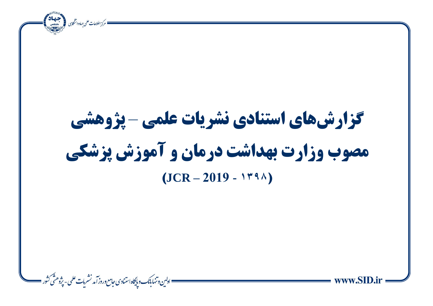= مركز اطلاعات علمى جهاددانشكابى في المستقلة بينجان ì **گزارشهای استنادی نشریات علمی** – **پژوهشی مصوب وزارت بهداشت درمان و آموزش پزشکی**  $(JCR - 2019 - 1494)$ = اولىن وتنهابانك وبإيگاه استنادى حامع وروز آمد نشرمات علمى - پِرْوهشْ كَشُور ==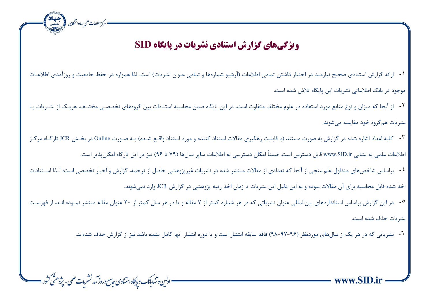## **ویژگی های گزارش استنادی نشریات در پایگاه SID**

ه<br>• مرکز اطلاعات علمی جهاددانشگاہی مسلم متعد المقصد

<sup>1</sup>- ارائه گزارش استنادی صحیح نیازمند در اختیار داشتن تمامی اطلاعات (آرشیو شمارهها و تمامی عنوان نشریات) است. لذا همواره در حفظ جامعیت و روزآمدی اطلاعـات موجود در بانک اطالعاتی نشریات این پایگاه تالش شده است.

-2 از آنجا که میزان و نوع منابع مورد استفاده در علوم مختلف متفاوت است، در این پایگاه ضمن محاسبه استنادات بین گروههای تخصصای مختلاف، هریاک از نشاریات باا نشریات همگروه خود مقایسه میشوند.

-3 کلیه اعداد اشاره شده در گزارش به صورت مستند )با قابلیت رهگیری مقاالت استناد کننده و مورد استناد واقاع شاده( باه صاورت Online در بخا JCR تارگااه مرکاز

اطلاعات علمی به نشانی www.SID.ir قابل دسترس است. ضمناً امکان دسترسی به اطلاعات سایر سالها (۷۹ تا ۹۶) نیز در این تارگاه امکانپذیر است.

ì

-4 براساس شاخصهای متداول علمسنجی از آنجا که تعدادی از مقاالت منتشر شده در نشریات غیرپژوهشی حاصل از ترجمه، گزارش و اخبار تخصصی است؛ لاذا اساتنادات اخذ شده قابل محاسبه برای آن مقالات نبوده و به این دلیل این نشریات تا زمان اخذ رتبه پژوهشی در گزارش JCR وارد نمی شوند.

-3 در این گزارش براساس استانداردهای بینالمللی عنوان نشریاتی که در هر شماره کمتر از ۷ مقاله کتار از ۲۰ عنوان مقاله منتشر نمـوده انـد، از فهرسـت نشریات حذف شده است.

-6 نشریاتی که در هر یک از سالهای موردنظر )98-97-96( راقد سابقه انتشار است و یا دوره انتشار آنسا کامل نشده باش د نیز از گزارش حذف شدهاند.

= ادلىن وتنهابانك وبايكاه استنادى حامع وروز آمد نشريات علمى - پژوهشّى كشور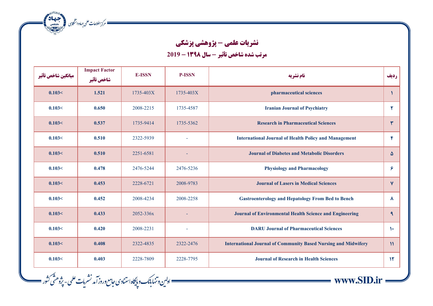ه مركز اطلاعات على جهاددانشخابى المجتمعة التي تحقيقات

= اولىن وتنهابانك وپايگاه استنادى حامع وروز آمد نشريات علمى - پژوهشّى كثور ==

## **نشریات علمی - پژوهشی پزشکی**

ì

 $\equiv$  www.SID.ir =

**مرتب شده شاخص تأثیر - سال <sup>1398</sup> - 2019**

| ميانكين شاخص تأثير | <b>Impact Factor</b><br>شاخص تأثير | <b>E-ISSN</b> | <b>P-ISSN</b> | نام نشریه                                                             | رديف          |
|--------------------|------------------------------------|---------------|---------------|-----------------------------------------------------------------------|---------------|
| 0.103<             | 1.521                              | 1735-403X     | 1735-403X     | pharmaceutical sciences                                               |               |
| 0.103<             | 0.650                              | 2008-2215     | 1735-4587     | <b>Iranian Journal of Psychiatry</b>                                  | ۲             |
| 0.103<             | 0.537                              | 1735-9414     | 1735-5362     | <b>Research in Pharmaceutical Sciences</b>                            | ٣             |
| 0.103<             | 0.510                              | 2322-5939     |               | <b>International Journal of Health Policy and Management</b>          | $\mathbf{r}$  |
| 0.103<             | 0.510                              | 2251-6581     |               | <b>Journal of Diabetes and Metabolic Disorders</b>                    | ۵             |
| 0.103<             | 0.478                              | 2476-5244     | 2476-5236     | <b>Physiology and Pharmacology</b>                                    | ۶             |
| 0.103<             | 0.453                              | 2228-6721     | 2008-9783     | <b>Journal of Lasers in Medical Sciences</b>                          | $\mathbf{v}$  |
| 0.103<             | 0.452                              | 2008-4234     | 2008-2258     | <b>Gastroenterology and Hepatology From Bed to Bench</b>              | $\lambda$     |
| 0.103<             | 0.433                              | 2052-336x     |               | <b>Journal of Environmental Health Science and Engineering</b>        | $\mathbf{q}$  |
| 0.103<             | 0.420                              | 2008-2231     |               | <b>DARU Journal of Pharmaceutical Sciences</b>                        | $\mathcal{N}$ |
| 0.103<             | 0.408                              | 2322-4835     | 2322-2476     | <b>International Journal of Community Based Nursing and Midwifery</b> | $\mathcal{V}$ |
| 0.103<             | 0.403                              | 2228-7809     | 2228-7795     | <b>Journal of Research in Health Sciences</b>                         | $\mathcal{N}$ |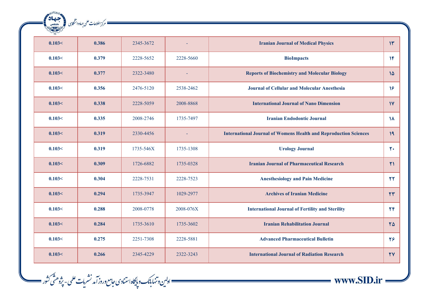| حهاد   | == مرکز اطلاعات علمی جهاددانشگاہی |           |           |                                                                         |                        |
|--------|-----------------------------------|-----------|-----------|-------------------------------------------------------------------------|------------------------|
|        |                                   |           |           |                                                                         |                        |
| 0.103< | 0.386                             | 2345-3672 |           | <b>Iranian Journal of Medical Physics</b>                               | $\mathcal{W}$          |
| 0.103< | 0.379                             | 2228-5652 | 2228-5660 | <b>BioImpacts</b>                                                       | $\mathcal{W}$          |
| 0.103< | 0.377                             | 2322-3480 | $\sim$    | <b>Reports of Biochemistry and Molecular Biology</b>                    | $1\Delta$              |
| 0.103< | 0.356                             | 2476-5120 | 2538-2462 | <b>Journal of Cellular and Molecular Anesthesia</b>                     | $\mathcal{V}$          |
| 0.103< | 0.338                             | 2228-5059 | 2008-8868 | <b>International Journal of Nano Dimension</b>                          | $\mathsf{IV}$          |
| 0.103< | 0.335                             | 2008-2746 | 1735-7497 | <b>Iranian Endodontic Journal</b>                                       | $\lambda$              |
| 0.103< | 0.319                             | 2330-4456 | $\omega$  | <b>International Journal of Womens Health and Reproduction Sciences</b> | 19                     |
| 0.103< | 0.319                             | 1735-546X | 1735-1308 | <b>Urology Journal</b>                                                  | $Y+$                   |
| 0.103< | 0.309                             | 1726-6882 | 1735-0328 | <b>Iranian Journal of Pharmaceutical Research</b>                       | $\mathsf{Y}$           |
| 0.103< | 0.304                             | 2228-7531 | 2228-7523 | <b>Anesthesiology and Pain Medicine</b>                                 | $\mathbf{r}$           |
| 0.103< | 0.294                             | 1735-3947 | 1029-2977 | <b>Archives of Iranian Medicine</b>                                     | $\mathsf{Y}\mathsf{Y}$ |
| 0.103< | 0.288                             | 2008-0778 | 2008-076X | <b>International Journal of Fertility and Sterility</b>                 | $\mathbf{Y}\mathbf{F}$ |
| 0.103< | 0.284                             | 1735-3610 | 1735-3602 | <b>Iranian Rehabilitation Journal</b>                                   | 70                     |
| 0.103< | 0.275                             | 2251-7308 | 2228-5881 | <b>Advanced Pharmaceutical Bulletin</b>                                 | 26                     |
| 0.103< | 0.266                             | 2345-4229 | 2322-3243 | <b>International Journal of Radiation Research</b>                      | <b>٢</b> ٧             |

—— ادلین وتنهابانک و پایگاه استنادی *جامع وروز آمد نشریات علمی - پژوهشّی ک*ثور <u>—</u><br>—— اولین وتنهابانک و پایگاه استنادی *جامع وروز آمد نشریات علمی - پژوهشّی ک*ثور



ì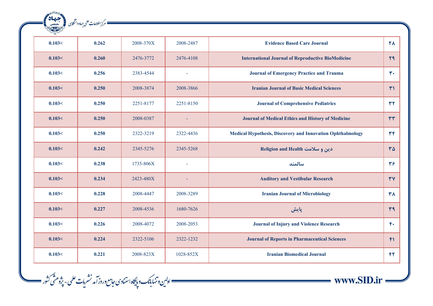| RANGAL BASE<br>جهاد<br>.<br>دانشگاهی | == مرکز اطلاعات علمی جهاددانشگاہی |           |                |                                                            |                        |
|--------------------------------------|-----------------------------------|-----------|----------------|------------------------------------------------------------|------------------------|
|                                      |                                   |           |                |                                                            |                        |
| 0.103<                               | 0.262                             | 2008-370X | 2008-2487      | <b>Evidence Based Care Journal</b>                         | <b>TA</b>              |
| 0.103<                               | 0.260                             | 2476-3772 | 2476-4108      | <b>International Journal of Reproductive BioMedicine</b>   | Y9                     |
| 0.103<                               | 0.256                             | 2383-4544 | $\sim$         | <b>Journal of Emergency Practice and Trauma</b>            | $r \cdot$              |
| 0.103<                               | 0.250                             | 2008-3874 | 2008-3866      | <b>Iranian Journal of Basic Medical Sciences</b>           | $\mathsf{r}_1$         |
| 0.103<                               | 0.250                             | 2251-8177 | 2251-8150      | <b>Journal of Comprehensive Pediatrics</b>                 | rr                     |
| 0.103<                               | 0.250                             | 2008-0387 |                | <b>Journal of Medical Ethics and History of Medicine</b>   | rr                     |
| 0.103<                               | 0.250                             | 2322-3219 | 2322-4436      | Medical Hypothesis, Discovery and Innovation Ophthalmology | $\mathbf{r}$           |
| 0.103<                               | 0.242                             | 2345-5276 | 2345-5268      | دین و سلامت Religion and Health                            | $\mathsf{r}\mathsf{a}$ |
| 0.103<                               | 0.238                             | 1735-806X | $\overline{a}$ | سالمند                                                     | 37                     |
| 0.103<                               | 0.234                             | 2423-480X |                | <b>Auditory and Vestibular Research</b>                    | YY                     |
| 0.103<                               | 0.228                             | 2008-4447 | 2008-3289      | <b>Iranian Journal of Microbiology</b>                     | <b>٣٨</b>              |
| 0.103<                               | 0.227                             | 2008-4536 | 1680-7626      | پایش                                                       | $\mathbf{r}$           |
| 0.103<                               | 0.226                             | 2008-4072 | 2008-2053      | <b>Journal of Injury and Violence Research</b>             | $F^*$                  |
| 0.103<                               | 0.224                             | 2322-5106 | 2322-1232      | <b>Journal of Reports in Pharmaceutical Sciences</b>       | F <sub>1</sub>         |
| 0.103<                               | 0.221                             | 2008-823X | 1028-852X      | <b>Iranian Biomedical Journal</b>                          | FT                     |

—— اولىن وتنهابانك و پايگاه استنادى حامع وروز آمد نشريات علمى - پژوهشّى كثور ——

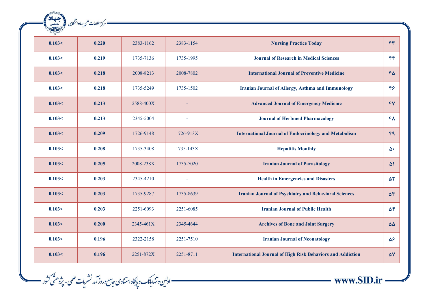| $\sim$ |       |           |           |                                                                   |                     |
|--------|-------|-----------|-----------|-------------------------------------------------------------------|---------------------|
| 0.103< | 0.220 | 2383-1162 | 2383-1154 | <b>Nursing Practice Today</b>                                     | rr                  |
| 0.103< | 0.219 | 1735-7136 | 1735-1995 | <b>Journal of Research in Medical Sciences</b>                    | FP                  |
| 0.103< | 0.218 | 2008-8213 | 2008-7802 | <b>International Journal of Preventive Medicine</b>               | FA                  |
| 0.103< | 0.218 | 1735-5249 | 1735-1502 | <b>Iranian Journal of Allergy, Asthma and Immunology</b>          | $F$ ۶               |
| 0.103< | 0.213 | 2588-400X |           | <b>Advanced Journal of Emergency Medicine</b>                     | YY                  |
| 0.103< | 0.213 | 2345-5004 |           | <b>Journal of Herbmed Pharmacology</b>                            | ۴۸                  |
| 0.103< | 0.209 | 1726-9148 | 1726-913X | <b>International Journal of Endocrinology and Metabolism</b>      | Fq                  |
| 0.103< | 0.208 | 1735-3408 | 1735-143X | <b>Hepatitis Monthly</b>                                          | $\Delta$            |
| 0.103< | 0.205 | 2008-238X | 1735-7020 | <b>Iranian Journal of Parasitology</b>                            | $\Delta$            |
| 0.103< | 0.203 | 2345-4210 |           | <b>Health in Emergencies and Disasters</b>                        | 57                  |
| 0.103< | 0.203 | 1735-9287 | 1735-8639 | <b>Iranian Journal of Psychiatry and Behavioral Sciences</b>      | $\Delta \Upsilon$   |
| 0.103< | 0.203 | 2251-6093 | 2251-6085 | <b>Iranian Journal of Public Health</b>                           | $\Delta \mathbf{f}$ |
| 0.103< | 0.200 | 2345-461X | 2345-4644 | <b>Archives of Bone and Joint Surgery</b>                         | $\Delta\Delta$      |
| 0.103< | 0.196 | 2322-2158 | 2251-7510 | <b>Iranian Journal of Neonatology</b>                             | 58                  |
| 0.103< | 0.196 | 2251-872X | 2251-8711 | <b>International Journal of High Risk Behaviors and Addiction</b> | $\Delta V$          |

— ادلین وتنهابانک و پایگاه استنادی جامع وروز آمد نشریات علمی - پژوهشّی کثور —<br>- اولین وتنهابانک و پایگاه استنادی جامع وروز آمد نشریات علمی - پژوهشّی کثور

ه مرکز اطلاعات علمی جماددانشگای (میلیمان)<br>مسکور اطلاعات علمی جماددانشگای (میلیمانی)

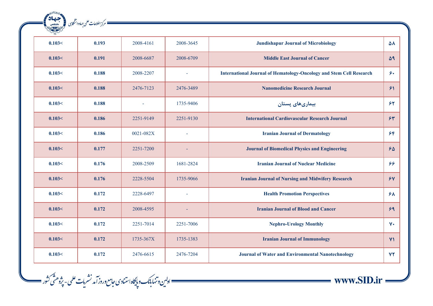| RANSHERE C<br>جهاد<br>دانشگاھ | <sup>=</sup> مرکز اطلاعات علمی جهاددانشگاہی |               |           |                                                                            |                |
|-------------------------------|---------------------------------------------|---------------|-----------|----------------------------------------------------------------------------|----------------|
|                               |                                             |               |           |                                                                            |                |
| 0.103<                        | 0.193                                       | 2008-4161     | 2008-3645 | <b>Jundishapur Journal of Microbiology</b>                                 | ۵۸             |
| 0.103<                        | 0.191                                       | 2008-6687     | 2008-6709 | <b>Middle East Journal of Cancer</b>                                       | $\Delta$ 9     |
| 0.103<                        | 0.188                                       | 2008-2207     | $\sim$    | <b>International Journal of Hematology-Oncology and Stem Cell Research</b> | ۶٠             |
| 0.103<                        | 0.188                                       | 2476-7123     | 2476-3489 | <b>Nanomedicine Research Journal</b>                                       | 51             |
| 0.103<                        | 0.188                                       |               | 1735-9406 | بیماریهای پستان                                                            | 55             |
| 0.103<                        | 0.186                                       | 2251-9149     | 2251-9130 | <b>International Cardiovascular Research Journal</b>                       | 54             |
| 0.103<                        | 0.186                                       | $0021 - 082X$ | L.        | <b>Iranian Journal of Dermatology</b>                                      | 55             |
| 0.103<                        | 0.177                                       | 2251-7200     |           | <b>Journal of Biomedical Physics and Engineering</b>                       | 50             |
| 0.103<                        | 0.176                                       | 2008-2509     | 1681-2824 | <b>Iranian Journal of Nuclear Medicine</b>                                 | 66             |
| 0.103<                        | 0.176                                       | 2228-5504     | 1735-9066 | <b>Iranian Journal of Nursing and Midwifery Research</b>                   | $\gamma$       |
| 0.103<                        | 0.172                                       | 2228-6497     |           | <b>Health Promotion Perspectives</b>                                       | 5 <sub>A</sub> |
| 0.103<                        | 0.172                                       | 2008-4595     |           | <b>Iranian Journal of Blood and Cancer</b>                                 | 59             |
| 0.103<                        | 0.172                                       | 2251-7014     | 2251-7006 | <b>Nephro-Urology Monthly</b>                                              | $V +$          |
| 0.103<                        | 0.172                                       | 1735-367X     | 1735-1383 | <b>Iranian Journal of Immunology</b>                                       | Y <sub>1</sub> |
| 0.103<                        | 0.172                                       | 2476-6615     | 2476-7204 | <b>Journal of Water and Environmental Nanotechnology</b>                   | YY             |

—— اولىن وتنهابانك و پايگاه استنادى حامع وروز آمد نشريات علمى - پژوهشّى كثور ——

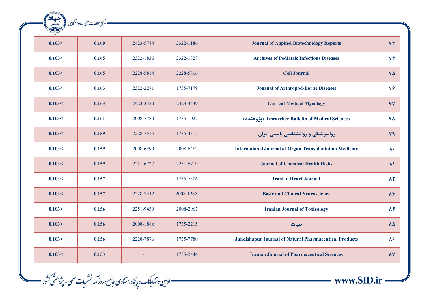|                                                                              |           |           |       | $\sim$ |
|------------------------------------------------------------------------------|-----------|-----------|-------|--------|
| VT<br><b>Journal of Applied Biotechnology Reports</b>                        | 2322-1186 | 2423-5784 | 0.169 | 0.103< |
| YF<br><b>Archives of Pediatric Infectious Diseases</b>                       | 2322-1828 | 2322-1836 | 0.165 | 0.103< |
| $\mathsf{v}\mathsf{\Delta}$<br><b>Cell Journal</b>                           | 2228-5806 | 2228-5814 | 0.165 | 0.103< |
| $Y\mathcal{F}$<br><b>Journal of Arthropod-Borne Diseases</b>                 | 1735-7179 | 2322-2271 | 0.163 | 0.103< |
| <b>VY</b><br><b>Current Medical Mycology</b>                                 | 2423-3439 | 2423-3420 | 0.163 | 0.103< |
| <b>VA</b><br>(يژوهنده) Researcher Bulletin of Medical Sciences               | 1735-1022 | 2008-7780 | 0.161 | 0.103< |
| <b>V9</b><br>روانپزشکی و روانشناسی بالینی ایران                              | 1735-4315 | 2228-7515 | 0.159 | 0.103< |
| <b>International Journal of Organ Transplantation Medicine</b><br>$\lambda$  | 2008-6482 | 2008-6490 | 0.159 | 0.103< |
| <b>Journal of Chemical Health Risks</b>                                      | 2251-6719 | 2251-6727 | 0.159 | 0.103< |
| $\lambda$ ٢<br><b>Iranian Heart Journal</b>                                  | 1735-7306 |           | 0.157 | 0.103< |
| $\Lambda \Upsilon$<br><b>Basic and Clinical Neuroscience</b>                 | 2008-126X | 2228-7442 | 0.157 | 0.103< |
| $\Lambda$ ۴<br><b>Iranian Journal of Toxicology</b>                          | 2008-2967 | 2251-9459 | 0.156 | 0.103< |
| $\Lambda\Delta$<br>حيات                                                      | 1735-2215 | 2008-188x | 0.156 | 0.103< |
| $\lambda$ ۶<br><b>Jundishapur Journal of Natural Pharmaceutical Products</b> | 1735-7780 | 2228-7876 | 0.156 | 0.103< |
| $\lambda V$<br><b>Iranian Journal of Pharmaceutical Sciences</b>             | 1735-2444 |           | 0.153 | 0.103< |

—— ادلین وتنهابانک و پایگاه استنادی جامع وروز آمد نشریات علمی - پژوهشّی کثور ——<br>- اولین وتنهابانک و پایگاه استنادی جامع وروز آمد نشریات علمی - پژوهشّی کثور

ه مركز اطلاعات على جماددانشكاي (مستعملة)<br>- مركز اطلاعات على جماددانشكاي (مستعملية)

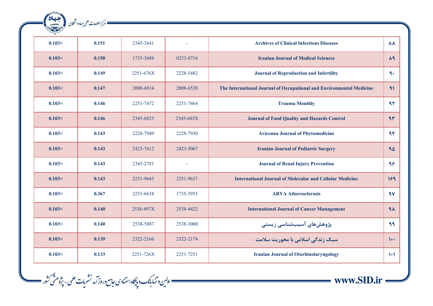|                                                                      |           |           |       | $\sim$ |
|----------------------------------------------------------------------|-----------|-----------|-------|--------|
| <b>Archives of Clinical Infectious Diseases</b>                      |           | 2345-2641 | 0.151 | 0.103< |
| <b>Iranian Journal of Medical Sciences</b>                           | 0253-0716 | 1735-3688 | 0.150 | 0.103< |
| <b>Journal of Reproduction and Infertility</b>                       | 2228-5482 | 2251-676X | 0.149 | 0.103< |
| The International Journal of Occupational and Environmental Medicine | 2008-6520 | 2008-6814 | 0.147 | 0.103< |
| <b>Trauma Monthly</b>                                                | 2251-7464 | 2251-7472 | 0.146 | 0.103< |
| <b>Journal of Food Quality and Hazards Control</b>                   | 2345-685X | 2345-6825 | 0.146 | 0.103< |
| <b>Avicenna Journal of Phytomedicine</b>                             | 2228-7930 | 2228-7949 | 0.143 | 0.103< |
| <b>Iranian Journal of Pediatric Surgery</b>                          | 2423-5067 | 2423-7612 | 0.143 | 0.103< |
| <b>Journal of Renal Injury Prevention</b>                            |           | 2345-2781 | 0.143 | 0.103< |
| <b>International Journal of Molecular and Cellular Medicine</b>      | 2251-9637 | 2251-9645 | 0.143 | 0.103< |
| <b>ARYA Atherosclerosis</b>                                          | 1735-3955 | 2251-6638 | 0.367 | 0.103< |
| <b>International Journal of Cancer Management</b>                    | 2538-4422 | 2538-497X | 0.140 | 0.103< |
| پژوهشهای آسیبشناسی زیستی                                             | 2538-3000 | 2538-5887 | 0.140 | 0.103< |
| سبک زندگی اسلامی با محوریت سلامت                                     | 2322-2174 | 2322-2166 | 0.139 | 0.103< |
| <b>Iranian Journal of Otorhinolaryngology</b>                        | 2251-7251 | 2251-726X | 0.133 | 0.103< |

ه مركز اطلاعات على جماددانشكاي (مستعملة)<br>- مركز اطلاعات على جماددانشكاي (مستعملية)

 $\frac{1}{\text{www.SID} \cdot \text{ir}}$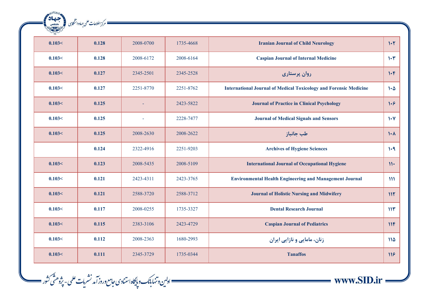|                                                                                          |           |           |       | $\frac{1}{\sqrt{2}}$ |
|------------------------------------------------------------------------------------------|-----------|-----------|-------|----------------------|
| $1 - 5$<br><b>Iranian Journal of Child Neurology</b>                                     | 1735-4668 | 2008-0700 | 0.128 | 0.103<               |
| $\mathcal{N}$<br><b>Caspian Journal of Internal Medicine</b>                             | 2008-6164 | 2008-6172 | 0.128 | 0.103<               |
| $1 - F$<br>روان پرستاری                                                                  | 2345-2528 | 2345-2501 | 0.127 | 0.103<               |
| <b>International Journal of Medical Toxicology and Forensic Medicine</b><br>$1 - \Delta$ | 2251-8762 | 2251-8770 | 0.127 | 0.103<               |
| 1.9<br><b>Journal of Practice in Clinical Psychology</b>                                 | 2423-5822 |           | 0.125 | 0.103<               |
| $1 - V$<br><b>Journal of Medical Signals and Sensors</b>                                 | 2228-7477 |           | 0.125 | 0.103<               |
| طب جانباز<br>$\mathcal{N}$                                                               | 2008-2622 | 2008-2630 | 0.125 | 0.103<               |
| <b>Archives of Hygiene Sciences</b><br>1.9                                               | 2251-9203 | 2322-4916 | 0.124 |                      |
| <b>International Journal of Occupational Hygiene</b><br>$\mathcal{W}$                    | 2008-5109 | 2008-5435 | 0.123 | 0.103<               |
| <b>Environmental Health Engineering and Management Journal</b><br>$\mathbf{M}$           | 2423-3765 | 2423-4311 | 0.121 | 0.103<               |
| <b>Journal of Holistic Nursing and Midwifery</b><br>117                                  | 2588-3712 | 2588-3720 | 0.121 | 0.103<               |
| 115<br><b>Dental Research Journal</b>                                                    | 1735-3327 | 2008-0255 | 0.117 | 0.103<               |
| 11F<br><b>Caspian Journal of Pediatrics</b>                                              | 2423-4729 | 2383-3106 | 0.115 | 0.103<               |
| زنان، مامایی و نازایی ایران<br>110                                                       | 1680-2993 | 2008-2363 | 0.112 | 0.103<               |
| <b>Tanaffos</b><br>118                                                                   | 1735-0344 | 2345-3729 | 0.111 | 0.103<               |

— ادلین وتنهابانک و پایگاه استنادی جامع وروز آمد نشریات علمی - پژوهشّی کثور —<br>- اولین وتنهابانک و پایگاه استنادی جامع وروز آمد نشریات علمی - پژوهشّی کثور

ه مركز اطلاعات على جماددانشكاي (مستعملة)<br>- مركز اطلاعات على جماددانشكاي (مستعملة)

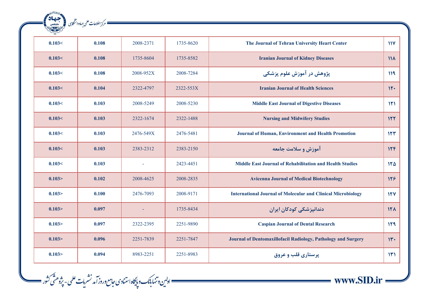| $\frac{1}{2}$ |       |           |           |                                                                     |                 |
|---------------|-------|-----------|-----------|---------------------------------------------------------------------|-----------------|
| 0.103<        | 0.108 | 2008-2371 | 1735-8620 | The Journal of Tehran University Heart Center                       | $\mathbf{M}$    |
| 0.103<        | 0.108 | 1735-8604 | 1735-8582 | <b>Iranian Journal of Kidney Diseases</b>                           | $\mathcal{M}$   |
| 0.103<        | 0.108 | 2008-952X | 2008-7284 | پژوهش در آموزش علوم پزشکی                                           | 119             |
| 0.103<        | 0.104 | 2322-4797 | 2322-553X | <b>Iranian Journal of Health Sciences</b>                           | 11.             |
| 0.103<        | 0.103 | 2008-5249 | 2008-5230 | <b>Middle East Journal of Digestive Diseases</b>                    | 151             |
| 0.103<        | 0.103 | 2322-1674 | 2322-1488 | <b>Nursing and Midwifery Studies</b>                                | 157             |
| 0.103<        | 0.103 | 2476-549X | 2476-5481 | Journal of Human, Environment and Health Promotion                  | 157             |
| 0.103<        | 0.103 | 2383-2312 | 2383-2150 | آموزش و سلامت جامعه                                                 | 156             |
| 0.103<        | 0.103 |           | 2423-4451 | <b>Middle East Journal of Rehabilitation and Health Studies</b>     | 150             |
| 0.103 >       | 0.102 | 2008-4625 | 2008-2835 | <b>Avicenna Journal of Medical Biotechnology</b>                    | 158             |
| 0.103 >       | 0.100 | 2476-7093 | 2008-9171 | <b>International Journal of Molecular and Clinical Microbiology</b> | 15V             |
| 0.103 >       | 0.097 |           | 1735-8434 | دندانیزشکی کودکان ایران                                             | 15 <sub>A</sub> |
| 0.103 >       | 0.097 | 2322-2395 | 2251-9890 | <b>Caspian Journal of Dental Research</b>                           | 119             |
| 0.103 >       | 0.096 | 2251-7839 | 2251-7847 | Journal of Dentomaxillofacil Radiology, Pathology and Surgery       | 11.4            |
| 0.103         | 0.094 | 8983-2251 | 2251-8983 | پرستاری قلب و عروق                                                  | 151             |

—— اولىن وتنهابانك و پايگاه استنادى حامع وروز آمد نشريات علمى - پژوهشّى كثور ——

ه مرکز اطلاعات علمی جماددانشگای (میلیمان)<br>مسکور اطلاعات علمی جماددانشگای (میلیمان

 $\frac{1}{\text{www.SID} \cdot \text{ir}}$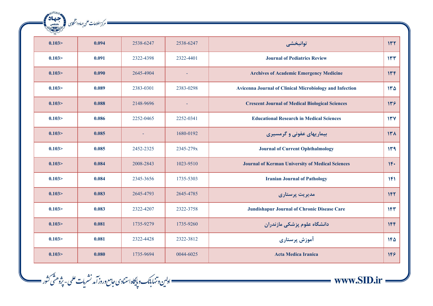| RANSAS RE<br>ales | — مرکز اطلاعات علمی جهاددانشگاہی |                |                          |                                                                |            |
|-------------------|----------------------------------|----------------|--------------------------|----------------------------------------------------------------|------------|
|                   |                                  |                |                          |                                                                |            |
| 0.103 >           | 0.094                            | 2538-6247      | 2538-6247                | توانبخشي                                                       | 157        |
| 0.103 >           | 0.091                            | 2322-4398      | 2322-4401                | <b>Journal of Pediatrics Review</b>                            | 157        |
| 0.103 >           | 0.090                            | 2645-4904      | $\overline{\phantom{a}}$ | <b>Archives of Academic Emergency Medicine</b>                 | 146        |
| 0.103             | 0.089                            | 2383-0301      | 2383-0298                | <b>Avicenna Journal of Clinical Microbiology and Infection</b> | 140        |
| 0.103 >           | 0.088                            | 2148-9696      |                          | <b>Crescent Journal of Medical Biological Sciences</b>         | 119        |
| 0.103 >           | 0.086                            | 2252-0465      | 2252-0341                | <b>Educational Research in Medical Sciences</b>                | 15V        |
| 0.103 >           | 0.085                            | $\blacksquare$ | 1680-0192                | بیماریهای عفونی و گرمسیری                                      | 141        |
| 0.103 >           | 0.085                            | 2452-2325      | 2345-279x                | <b>Journal of Current Ophthalmology</b>                        | 149        |
| 0.103 >           | 0.084                            | 2008-2843      | 1023-9510                | <b>Journal of Kerman University of Medical Sciences</b>        | $1F+$      |
| 0.103             | 0.084                            | 2345-3656      | 1735-5303                | <b>Iranian Journal of Pathology</b>                            | 1F1        |
| 0.103 >           | 0.083                            | 2645-4793      | 2645-4785                | مدیریت پرستاری                                                 | 1FY        |
| 0.103             | 0.083                            | 2322-4207      | 2322-3758                | <b>Jundishapur Journal of Chronic Disease Care</b>             | 1FY        |
| 0.103 >           | 0.081                            | 1735-9279      | 1735-9260                | دانشگاه علوم پزشکی مازندران                                    | 1FF        |
| 0.103 >           | 0.081                            | 2322-4428      | 2322-3812                | آموزش پرستاری                                                  | $1F\Delta$ |
| 0.103             | 0.080                            | 1735-9694      | 0044-6025                | <b>Acta Medica Iranica</b>                                     | 148        |

—— اولىن وتنهابانك وپايگاه استنادى حامع وروز آمد نشريات علمى - پژوهشّى كثور ——

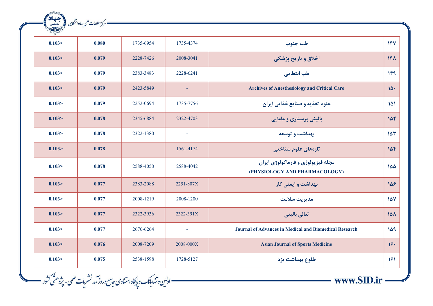| <b>MARINE</b> |       |           |                     |                                                                     |                 |
|---------------|-------|-----------|---------------------|---------------------------------------------------------------------|-----------------|
| 0.103 >       | 0.080 | 1735-6954 | 1735-4374           | طب جنوب                                                             | 154             |
| 0.103 >       | 0.079 | 2228-7426 | 2008-3041           | اخلاق و تاريخ پزشكي                                                 | 1F <sub>A</sub> |
| 0.103 >       | 0.079 | 2383-3483 | 2228-6241           | طب انتظامی                                                          | 1F9             |
| 0.103 >       | 0.079 | 2423-5849 |                     | <b>Archives of Anesthesiology and Critical Care</b>                 | 10.             |
| 0.103 >       | 0.079 | 2252-0694 | 1735-7756           | علوم تغذیه و صنایع غذایی ایران                                      | 101             |
| 0.103 >       | 0.078 | 2345-6884 | 2322-4703           | باليني پرستاري و مامايي                                             | 107             |
| 0.103 >       | 0.078 | 2322-1380 | $\bar{\phantom{a}}$ | بهداشت و توسعه                                                      | 107             |
| 0.103 >       | 0.078 |           | 1561-4174           | تازەھاي علوم شناختى                                                 | 158             |
| 0.103 >       | 0.078 | 2588-4050 | 2588-4042           | مجله فيزيولوژي و فارماكولوژي ايران<br>(PHYSIOLOGY AND PHARMACOLOGY) | 100             |
| 0.103 >       | 0.077 | 2383-2088 | 2251-807X           | بهداشت و ایمنی کار                                                  | 108             |
| 0.103 >       | 0.077 | 2008-1219 | 2008-1200           | مديريت سلامت                                                        | 107             |
| 0.103 >       | 0.077 | 2322-3936 | 2322-391X           | تعالى باليني                                                        | 10 <sub>A</sub> |
| 0.103 >       | 0.077 | 2676-6264 | $\bar{a}$           | <b>Journal of Advances in Medical and Biomedical Research</b>       | 159             |
| 0.103 >       | 0.076 | 2008-7209 | 2008-000X           | <b>Asian Journal of Sports Medicine</b>                             | 18.             |
| 0.103 >       | 0.075 | 2538-1598 | 1728-5127           | طلوع بهداشت يزد                                                     | 151             |

\_\_\_ اولىن وتنهابانك و پايگاه استنادى حامع وروز آمد نشريات علمى - پژوهشَى كثور \_\_\_\_

المسكن المحمد المسلمان على جماددانشكار في المحصد المحصد المحصد المحصد المحصول المحصول المحصول المحصول المحصول<br>المحصول المحصول المحصول المحصول المحصول المحصول المحصول المحصول المحصول المحصول المحصول المحصول المحصول المحصو<br>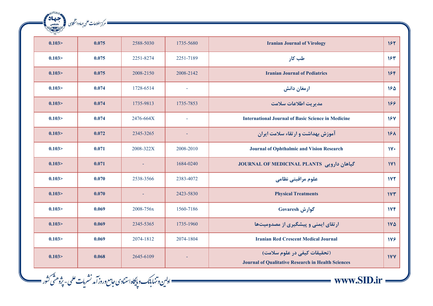| جهاد<br>جهاد | — مرکز اطلاعات علمی جهاددانشگا <sub>ن</sub> ی |           |           |                                                                                           |                 |
|--------------|-----------------------------------------------|-----------|-----------|-------------------------------------------------------------------------------------------|-----------------|
|              |                                               |           |           |                                                                                           |                 |
| 0.103 >      | 0.075                                         | 2588-5030 | 1735-5680 | <b>Iranian Journal of Virology</b>                                                        | 157             |
| 0.103 >      | 0.075                                         | 2251-8274 | 2251-7189 | طب کار                                                                                    | 154             |
| 0.103 >      | 0.075                                         | 2008-2150 | 2008-2142 | <b>Iranian Journal of Pediatrics</b>                                                      | 18F             |
| 0.103 >      | 0.074                                         | 1728-6514 | $\sim$    | ارمغان دانش                                                                               | 180             |
| 0.103 >      | 0.074                                         | 1735-9813 | 1735-7853 | مدیریت اطلاعات سلامت                                                                      | 188             |
| 0.103 >      | 0.074                                         | 2476-664X |           | <b>International Journal of Basic Science in Medicine</b>                                 | 18V             |
| 0.103 >      | 0.072                                         | 2345-3265 | $\sim$    | آموزش بهداشت و ارتقاء سلامت ایران                                                         | 18 <sub>A</sub> |
| 0.103 >      | 0.071                                         | 2008-322X | 2008-2010 | <b>Journal of Ophthalmic and Vision Research</b>                                          | 11.4            |
| 0.103 >      | 0.071                                         | $\sim$    | 1684-0240 | JOURNAL OF MEDICINAL PLANTS حياهان دارويي                                                 | 1Y1             |
| 0.103>       | 0.070                                         | 2538-3566 | 2383-4072 | علوم مراقبتي نظامي                                                                        | 1YY             |
| 0.103 >      | 0.070                                         |           | 2423-5830 | <b>Physical Treatments</b>                                                                | 1YY             |
| 0.103 >      | 0.069                                         | 2008-756x | 1560-7186 | گوارش Govaresh                                                                            | IVF             |
| 0.103 >      | 0.069                                         | 2345-5365 | 1735-1960 | ارتقای ایمنی و پیشگیری از مصدومیتها                                                       | IVQ             |
| 0.103 >      | 0.069                                         | 2074-1812 | 2074-1804 | <b>Iranian Red Crescent Medical Journal</b>                                               | 178             |
| 0.103 >      | 0.068                                         | 2645-6109 |           | (تحقیقات کیفی در علوم سلامت)<br><b>Journal of Qualitative Research in Health Sciences</b> | <b>IVY</b>      |

\_\_\_ اولىن وتنها بأنك و پايگاه استنادى حامع وروز آمد نشريات علمى - پژوهشّى كشور \_\_\_\_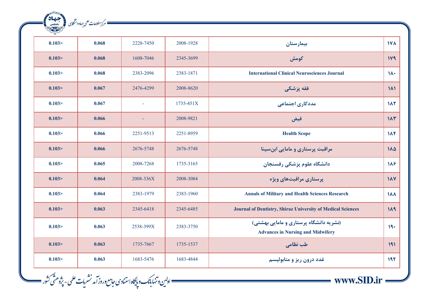| LIVE    |       |                          |           |                                                                                    |                  |
|---------|-------|--------------------------|-----------|------------------------------------------------------------------------------------|------------------|
| 0.103 > | 0.068 | 2228-7450                | 2008-1928 | بيمارستان                                                                          | <b>IVA</b>       |
| 0.103 > | 0.068 | 1608-7046                | 2345-3699 | كومش                                                                               | 119              |
| 0.103   | 0.068 | 2383-2096                | 2383-1871 | <b>International Clinical Neurosciences Journal</b>                                | $1\lambda$       |
| 0.103 > | 0.067 | 2476-4299                | 2008-8620 | فقه پزشکی                                                                          | $\lambda$        |
| 0.103 > | 0.067 | $\overline{\phantom{a}}$ | 1735-451X | مددکاری اجتماعی                                                                    | 117              |
| 0.103 > | 0.066 | $\blacksquare$           | 2008-9821 | فيض                                                                                | 11 <sub>Y</sub>  |
| 0.103 > | 0.066 | 2251-9513                | 2251-8959 | <b>Health Scope</b>                                                                | $1\Lambda$ ۴     |
| 0.103 > | 0.066 | 2676-5748                | 2676-5748 | مراقبت پرستاری و مامایی ابنِسینا                                                   | $\lambda\Delta$  |
| 0.103 > | 0.065 | 2008-7268                | 1735-3165 | دانشگاه علوم پزشکی رفسنجان                                                         | 118              |
| 0.103 > | 0.064 | 2008-336X                | 2008-3084 | پرستاری مراقبتهای ویژه                                                             | $\lambda$        |
| 0.103   | 0.064 | 2383-1979                | 2383-1960 | <b>Annals of Military and Health Sciences Research</b>                             | $\lambda\lambda$ |
| 0.103 > | 0.063 | 2345-6418                | 2345-6485 | Journal of Dentistry, Shiraz University of Medical Sciences                        | 119              |
| 0.103 > | 0.063 | 2538-399X                | 2383-3750 | (نشریه دانشگاه پرستاری و مامایی بهشتی)<br><b>Advances in Nursing and Midwifery</b> | 19.              |
| 0.103 > | 0.063 | 1735-7667                | 1735-1537 | طب نظامی                                                                           | 191              |
| 0.103 > | 0.063 | 1683-5476                | 1683-4844 | غدد درون ريز و متابوليسم                                                           | 197              |

\_\_\_ اولىن وتنها بأنك و پايگاه استنادى حامع وروز آمد نشريات علمى - پژوهشَى كثور \_\_\_\_

مسك مركز اطلاعات على جماددانشكابى (بالتعادية التعادية)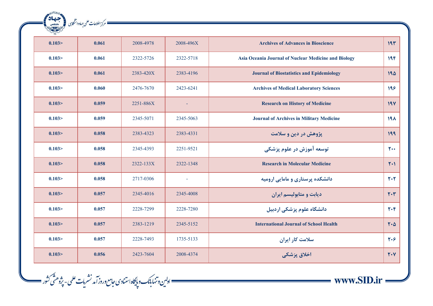| $\frac{1}{2}$ |       |           |                          |                                                      |                  |
|---------------|-------|-----------|--------------------------|------------------------------------------------------|------------------|
| 0.103 >       | 0.061 | 2008-4978 | 2008-496X                | <b>Archives of Advances in Bioscience</b>            | 191              |
| 0.103 >       | 0.061 | 2322-5726 | 2322-5718                | Asia Oceania Journal of Nuclear Medicine and Biology | 19F              |
| 0.103 >       | 0.061 | 2383-420X | 2383-4196                | <b>Journal of Biostatistics and Epidemiology</b>     | 190              |
| 0.103 >       | 0.060 | 2476-7670 | 2423-6241                | <b>Archives of Medical Laboratory Sciences</b>       | 199              |
| 0.103 >       | 0.059 | 2251-886X |                          | <b>Research on History of Medicine</b>               | 19Y              |
| 0.103 >       | 0.059 | 2345-5071 | 2345-5063                | <b>Journal of Archives in Military Medicine</b>      | 19 <sub>A</sub>  |
| 0.103 >       | 0.058 | 2383-4323 | 2383-4331                | پژوهش در دین و سلامت                                 | 199              |
| 0.103 >       | 0.058 | 2345-4393 | 2251-9521                | توسعه آموزش در علوم پزشکی                            | $\mathbf{r}$ .   |
| 0.103 >       | 0.058 | 2322-133X | 2322-1348                | <b>Research in Molecular Medicine</b>                | $Y+1$            |
| 0.103 >       | 0.058 | 2717-0306 | $\overline{\phantom{a}}$ | دانشکده پرستاری و مامایی ارومیه                      | $Y \cdot Y$      |
| 0.103 >       | 0.057 | 2345-4016 | 2345-4008                | دیابت و متابولیسم ایران                              | $Y \cdot Y$      |
| 0.103 >       | 0.057 | 2228-7299 | 2228-7280                | دانشگاه علوم پزشکی اردبیل                            | $Y \cdot Y$      |
| 0.103 >       | 0.057 | 2383-1219 | 2345-5152                | <b>International Journal of School Health</b>        | $Y \cdot \Delta$ |
| 0.103 >       | 0.057 | 2228-7493 | 1735-5133                | سلامت کار ایران                                      | $Y \cdot Y$      |
| 0.103 >       | 0.056 | 2423-7604 | 2008-4374                | اخلاق پزشکی                                          | $Y \cdot Y$      |

—— اولین و تنهابانک و پایگاه استنادی حامع وروز آمد نشریات علمی - پژوهشّی کشور ——<br>-

ه مركز اطلاعات على جهاددانشكايل (مستعملة)<br>- مركز اطلاعات على جهاددانشكايل (مستعملية)

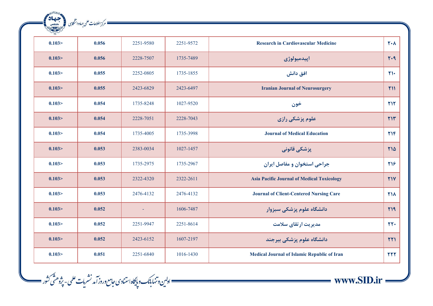| alga<br>Rajara<br>Rajar | ـــــــــــ مرکز اطلاعات علمی حهاد دانشگاہی |           |           |                                                    |                   |
|-------------------------|---------------------------------------------|-----------|-----------|----------------------------------------------------|-------------------|
|                         |                                             |           |           |                                                    |                   |
| 0.103 >                 | 0.056                                       | 2251-9580 | 2251-9572 | <b>Research in Cardiovascular Medicine</b>         | $Y \cdot \Lambda$ |
| 0.103 >                 | 0.056                                       | 2228-7507 | 1735-7489 | اپيدميولوژي                                        | $Y - 9$           |
| 0.103 >                 | 0.055                                       | 2252-0805 | 1735-1855 | افق دانش                                           | $\mathsf{Y}$      |
| 0.103 >                 | 0.055                                       | 2423-6829 | 2423-6497 | <b>Iranian Journal of Neurosurgery</b>             | Y11               |
| 0.103 >                 | 0.054                                       | 1735-8248 | 1027-9520 | خون                                                | <b>TIT</b>        |
| 0.103 >                 | 0.054                                       | 2228-7051 | 2228-7043 | علوم پزشکی رازی                                    | Y1Y               |
| 0.103 >                 | 0.054                                       | 1735-4005 | 1735-3998 | <b>Journal of Medical Education</b>                | YY                |
| 0.103 >                 | 0.053                                       | 2383-0034 | 1027-1457 | پزشکی قانونی                                       | <b>M14</b>        |
| 0.103 >                 | 0.053                                       | 1735-2975 | 1735-2967 | جراحي استخوان و مفاصل ايران                        | 718               |
| 0.103 >                 | 0.053                                       | 2322-4320 | 2322-2611 | <b>Asia Pacific Journal of Medical Toxicology</b>  | <b>٢١٧</b>        |
| 0.103 >                 | 0.053                                       | 2476-4132 | 2476-4132 | <b>Journal of Client-Centered Nursing Care</b>     | <b>T14</b>        |
| 0.103 >                 | 0.052                                       |           | 1606-7487 | دانشگاه علوم پزشکی سبزوار                          | $Y$ $9$           |
| 0.103 >                 | 0.052                                       | 2251-9947 | 2251-8614 | مدیریت ارتقای سلامت                                | rr.               |
| 0.103 >                 | 0.052                                       | 2423-6152 | 1607-2197 | دانشگاه علوم پزشکی بیرجند                          | $\tau\tau$        |
| 0.103 >                 | 0.051                                       | 2251-6840 | 1016-1430 | <b>Medical Journal of Islamic Republic of Iran</b> | <b>TTT</b>        |

—— اولىن وتنهابانك وپايگاه استنادى حامع وروز آمد نشريات علمى - پژوهشّى كثور ——

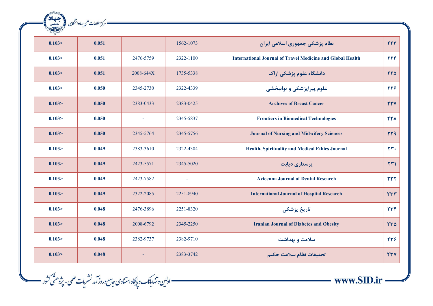| RANSHORE C   | ــــــ مرکز اطلاعات علمی جهاددانشگاہی |           |                          |                                                                   |                        |
|--------------|---------------------------------------|-----------|--------------------------|-------------------------------------------------------------------|------------------------|
| جهاد<br>بهان |                                       |           |                          |                                                                   |                        |
| 0.103 >      | 0.051                                 |           | 1562-1073                | نظام پزشکی جمهوری اسلامی ایران                                    | YYY                    |
| 0.103 >      | 0.051                                 | 2476-5759 | 2322-1100                | <b>International Journal of Travel Medicine and Global Health</b> | <b>TTF</b>             |
| 0.103>       | 0.051                                 | 2008-644X | 1735-5338                | دانشگاه علوم پزشکی اراک                                           | YYQ                    |
| 0.103>       | 0.050                                 | 2345-2730 | 2322-4339                | علوم پیراپزشکی و توانبخشی                                         | 778                    |
| 0.103 >      | 0.050                                 | 2383-0433 | 2383-0425                | <b>Archives of Breast Cancer</b>                                  | <b>TTV</b>             |
| 0.103 >      | 0.050                                 | $\sim$    | 2345-5837                | <b>Frontiers in Biomedical Technologies</b>                       | <b>TTA</b>             |
| 0.103>       | 0.050                                 | 2345-5764 | 2345-5756                | <b>Journal of Nursing and Midwifery Sciences</b>                  | <b>TT9</b>             |
| 0.103 >      | 0.049                                 | 2383-3610 | 2322-4304                | Health, Spirituality and Medical Ethics Journal                   | $rr$ .                 |
| 0.103 >      | 0.049                                 | 2423-5571 | 2345-5020                | پرستاری دیابت                                                     | $\mathsf{Y}\mathsf{Y}$ |
| 0.103 >      | 0.049                                 | 2423-7582 | $\overline{\phantom{a}}$ | <b>Avicenna Journal of Dental Research</b>                        | YYY                    |
| 0.103>       | 0.049                                 | 2322-2085 | 2251-8940                | <b>International Journal of Hospital Research</b>                 | rrr                    |
| 0.103 >      | 0.048                                 | 2476-3896 | 2251-8320                | تاریخ پزشک <i>ی</i>                                               | rrF                    |
| 0.103 >      | 0.048                                 | 2008-6792 | 2345-2250                | <b>Iranian Journal of Diabetes and Obesity</b>                    | $rr\Delta$             |
| 0.103 >      | 0.048                                 | 2382-9737 | 2382-9710                | سلامت و بهداشت                                                    | 779                    |
| 0.103 >      | 0.048                                 | $\sim$    | 2383-3742                | تحقيقات نظام سلامت حكيم                                           | <b>TTV</b>             |

—— اولىن وتنهابانك وپايگاه استنادى حامع وروز آمد نشريات علمى - پژوهشّى كثور ——

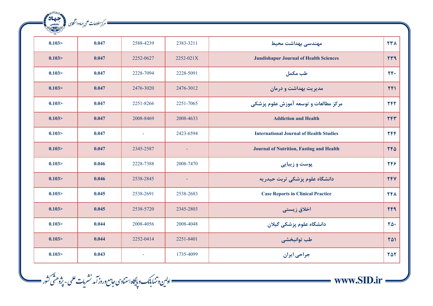| 227     |       |           |           |                                                 |                  |
|---------|-------|-----------|-----------|-------------------------------------------------|------------------|
| 0.103 > | 0.047 | 2588-4239 | 2383-3211 | مهندسی بهداشت محیط                              | <b>TTA</b>       |
| 0.103 > | 0.047 | 2252-0627 | 2252-021X | <b>Jundishapur Journal of Health Sciences</b>   | rr9              |
| 0.103 > | 0.047 | 2228-7094 | 2228-5091 | طب مكمل                                         | $YF+$            |
| 0.103 > | 0.047 | 2476-3020 | 2476-3012 | مدیریت بهداشت و درمان                           | YF1              |
| 0.103 > | 0.047 | 2251-8266 | 2251-7065 | مركز مطالعات و توسعه آموزش علوم پزشكي           | 747              |
| 0.103 > | 0.047 | 2008-8469 | 2008-4633 | <b>Addiction and Health</b>                     | YFT              |
| 0.103 > | 0.047 | $\sim$    | 2423-6594 | <b>International Journal of Health Studies</b>  | <b>TFF</b>       |
| 0.103 > | 0.047 | 2345-2587 |           | <b>Journal of Nutrition, Fasting and Health</b> | YFA              |
| 0.103 > | 0.046 | 2228-7388 | 2008-7470 | پوست و زیبایی                                   | 244              |
| 0.103 > | 0.046 | 2538-2845 | $\omega$  | دانشگاه علوم پزشکی تربت حیدریه                  | <b>TFV</b>       |
| 0.103 > | 0.045 | 2538-2691 | 2538-2683 | <b>Case Reports in Clinical Practice</b>        | <b>741</b>       |
| 0.103 > | 0.045 | 2538-5720 | 2345-2803 | اخلاق زیستی                                     | <b>TF9</b>       |
| 0.103 > | 0.044 | 2008-4056 | 2008-4048 | دانشگاه علوم پزشکی گیلان                        | $\Upsilon\Delta$ |
| 0.103 > | 0.044 | 2252-0414 | 2251-8401 | طب توانبخشي                                     | 741              |
| 0.103 > | 0.043 |           | 1735-4099 | جراحي ايران                                     | 757              |

\_\_\_ ادلىن وتنهابانك وپايگاه استنادى حامع وروز آمد نشريات علمى - پژوهشّى كثور \_\_\_\_\_

 $\frac{1}{\text{www.SID} \cdot \text{ir}}$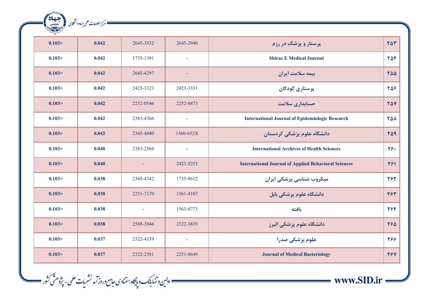| $\sqrt{2}$ |       |           |                          |                                                             |                        |
|------------|-------|-----------|--------------------------|-------------------------------------------------------------|------------------------|
| 0.103 >    | 0.042 | 2645-3932 | 2645-3940                | پرستار و پزشک در رزم                                        | $\gamma \Delta \gamma$ |
| 0.103 >    | 0.042 | 1735-1391 | $\overline{\phantom{a}}$ | <b>Shiraz E Medical Journal</b>                             | 754                    |
| 0.103 >    | 0.042 | 2645-4297 | $\overline{\phantom{a}}$ | بیمه سلامت ایران                                            | 700                    |
| 0.103 >    | 0.042 | 2423-3323 | 2423-3331                | پرستاری کودکان                                              | 758                    |
| 0.103 >    | 0.042 | 2252-0546 | 2252-0473                | حسابداری سلامت                                              | <b>TAV</b>             |
| 0.103 >    | 0.042 | 2383-4366 |                          | <b>International Journal of Epidemiologic Research</b>      | <b>TAA</b>             |
| 0.103 >    | 0.042 | 2345-4040 | 1560-652X                | دانشگاه علوم پزشکی کردستان                                  | 709                    |
| 0.103 >    | 0.040 | 2383-2568 | ÷,                       | <b>International Archives of Health Sciences</b>            | $Y$ ۶.                 |
| 0.103 >    | 0.040 |           | 2423-5253                | <b>International Journal of Applied Behavioral Sciences</b> | 791                    |
| 0.103 >    | 0.038 | 2345-4342 | 1735-8612                | میکروب شناسی پزشکی ایران                                    | 282                    |
| 0.103 >    | 0.038 | 2251-7170 | 1561-4107                | دانشگاه علوم پزشکی بابل                                     | 784                    |
| 0.103 >    | 0.038 | $\equiv$  | 1563-0773                | بافته                                                       | 784                    |
| 0.103 >    | 0.038 | 2588-3046 | 2322-3839                | دانشگاه علوم پزشکی البرز                                    | 780                    |
| 0.103 >    | 0.037 | 2322-4339 | ÷,                       | علوم پزشکی صدرا                                             | 288                    |
| 0.103 >    | 0.037 | 2322-2581 | 2251-8649                | <b>Journal of Medical Bacteriology</b>                      | 797                    |

— ادلین وتنهابانک و پایگاه استنادی جامع وروز آمد نشریات علمی - پژوهشّی کثور —<br>- اولین وتنهابانک و پایگاه استنادی جامع وروز آمد نشریات علمی - پژوهشّی کثور

ه مرکز اطلاعات علمی جماددانشگای (میلیمان)<br>مسکور اطلاعات علمی جماددانشگای (میلیمانی)

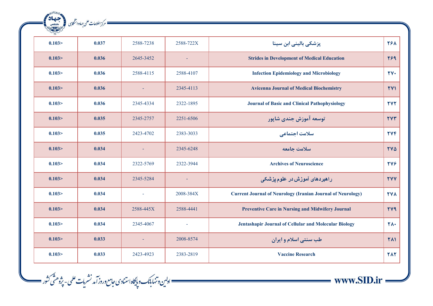| ales    | — مرکز اطلاعات علمی جهاددانشگاہی |           |           |                                                                    |                          |
|---------|----------------------------------|-----------|-----------|--------------------------------------------------------------------|--------------------------|
|         |                                  |           |           |                                                                    |                          |
| 0.103   | 0.037                            | 2588-7238 | 2588-722X | پزشکی بالینی ابن سینا                                              | 281                      |
| 0.103 > | 0.036                            | 2645-3452 |           | <b>Strides in Development of Medical Education</b>                 | <b>789</b>               |
| 0.103 > | 0.036                            | 2588-4115 | 2588-4107 | <b>Infection Epidemiology and Microbiology</b>                     | $\mathbf{y}$             |
| 0.103 > | 0.036                            |           | 2345-4113 | <b>Avicenna Journal of Medical Biochemistry</b>                    | <b>TV1</b>               |
| 0.103 > | 0.036                            | 2345-4334 | 2322-1895 | <b>Journal of Basic and Clinical Pathophysiology</b>               | <b>TYT</b>               |
| 0.103 > | 0.035                            | 2345-2757 | 2251-6506 | توسعه آموزش جندي شاپور                                             | <b>TVT</b>               |
| 0.103   | 0.035                            | 2423-4702 | 2383-3033 | سلامت اجتماعي                                                      | <b>TVF</b>               |
| 0.103 > | 0.034                            |           | 2345-6248 | سلامت جامعه                                                        | <b>TVA</b>               |
| 0.103 > | 0.034                            | 2322-5769 | 2322-3944 | <b>Archives of Neuroscience</b>                                    | <b>TYS</b>               |
| 0.103 > | 0.034                            | 2345-5284 |           | راهبردها <i>ی</i> آموزش در علوم پزشک <i>ی</i>                      | <b>TYY</b>               |
| 0.103 > | 0.034                            | $\omega$  | 2008-384X | <b>Current Journal of Neurology (Iranian Journal of Neurology)</b> | <b>TVA</b>               |
| 0.103 > | 0.034                            | 2588-445X | 2588-4441 | <b>Preventive Care in Nursing and Midwifery Journal</b>            | <b>TY9</b>               |
| 0.103 > | 0.034                            | 2345-4067 | $\sim$    | Jentashapir Journal of Cellular and Molecular Biology              | $\mathsf{Y}\Lambda\cdot$ |
| 0.103 > | 0.033                            |           | 2008-8574 | طب سنتی اسلام و ایران                                              | <b>TA1</b>               |
| 0.103   | 0.033                            | 2423-4923 | 2383-2819 | <b>Vaccine Research</b>                                            | <b>TAT</b>               |

—— اولىن وتنهابانك و پايگاه استنادى حامع وروز آمد نشريات علمى - پژوهشّى كثور ——

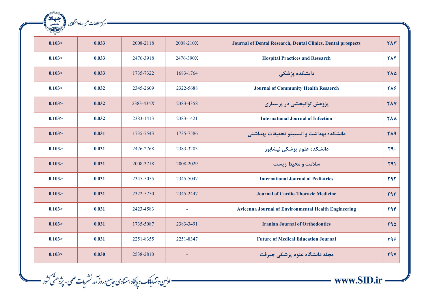| $\sqrt{2}$ |       |           |           |                                                                     |            |
|------------|-------|-----------|-----------|---------------------------------------------------------------------|------------|
| 0.103 >    | 0.033 | 2008-2118 | 2008-210X | <b>Journal of Dental Research, Dental Clinics, Dental prospects</b> | <b>TAT</b> |
| 0.103      | 0.033 | 2476-3918 | 2476-390X | <b>Hospital Practices and Research</b>                              | <b>TAF</b> |
| 0.103 >    | 0.033 | 1735-7322 | 1683-1764 | دانشکده پزشکی                                                       | 710        |
| 0.103      | 0.032 | 2345-2609 | 2322-5688 | <b>Journal of Community Health Resaerch</b>                         | 718        |
| 0.103 >    | 0.032 | 2383-434X | 2383-4358 | پژوهش توانبخشی در پرستاری                                           | <b>71Y</b> |
| 0.103      | 0.032 | 2383-1413 | 2383-1421 | <b>International Journal of Infection</b>                           | <b>777</b> |
| 0.103 >    | 0.031 | 1735-7543 | 1735-7586 | دانشكده بهداشت و انستيتو تحقيقات بهداشتي                            | <b>719</b> |
| 0.103 >    | 0.031 | 2476-2768 | 2383-3203 | دانشکده علوم پزشکی نیشابور                                          | Y9.        |
| 0.103      | 0.031 | 2008-3718 | 2008-2029 | سلامت و محیط زیست                                                   | 791        |
| 0.103      | 0.031 | 2345-5055 | 2345-5047 | <b>International Journal of Pediatrics</b>                          | 797        |
| 0.103 >    | 0.031 | 2322-5750 | 2345-2447 | <b>Journal of Cardio-Thoracic Medicine</b>                          | Y9Y        |
| 0.103 >    | 0.031 | 2423-4583 | ÷,        | <b>Avicenna Journal of Environmental Health Engineering</b>         | <b>T9F</b> |
| 0.103 >    | 0.031 | 1735-5087 | 2383-3491 | <b>Iranian Journal of Orthodontics</b>                              | <b>794</b> |
| 0.103      | 0.031 | 2251-8355 | 2251-8347 | <b>Future of Medical Education Journal</b>                          | 798        |
| 0.103 >    | 0.030 | 2538-2810 |           | مجله دانشگاه علوم پزشکی جیرفت                                       | <b>TAV</b> |

— ادلین وتنهابانک و پایگاه استنادی جامع وروز آمد نشریات علمی - پژوهشّی کثور —<br>- اولین وتنهابانک و پایگاه استنادی جامع وروز آمد نشریات علمی - پژوهشّی کثور

ه مرکز اطلاعات علمی جماددانشگای (میلیمان)<br>مسکور اطلاعات علمی جماددانشگای (میلیمانی)

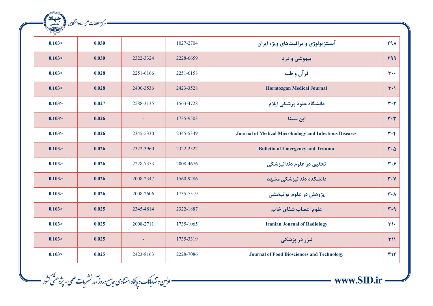| $\begin{picture}(120,115) \put(110,115){\line(1,0){150}} \put(110,115){\line(1,0){150}} \put(110,115){\line(1,0){150}} \put(110,115){\line(1,0){150}} \put(110,115){\line(1,0){150}} \put(110,115){\line(1,0){150}} \put(110,115){\line(1,0){150}} \put(110,115){\line(1,0){150}} \put(110,115){\line(1,0){150}} \put(110,11$ |       |                |           |                                                                |                               |
|-------------------------------------------------------------------------------------------------------------------------------------------------------------------------------------------------------------------------------------------------------------------------------------------------------------------------------|-------|----------------|-----------|----------------------------------------------------------------|-------------------------------|
|                                                                                                                                                                                                                                                                                                                               |       |                |           |                                                                |                               |
| 0.103 >                                                                                                                                                                                                                                                                                                                       | 0.030 |                | 1027-2704 | آنستز پولوژی و مراقبتهای ویژه ایران                            | <b>791</b>                    |
| 0.103 >                                                                                                                                                                                                                                                                                                                       | 0.030 | 2322-3324      | 2228-6659 | بیهوشی و درد                                                   | <b>799</b>                    |
| 0.103 >                                                                                                                                                                                                                                                                                                                       | 0.028 | 2251-6166      | 2251-6158 | قرآن و طب                                                      | $r \cdot$                     |
| 0.103 >                                                                                                                                                                                                                                                                                                                       | 0.028 | 2400-3536      | 2423-3528 | <b>Hormozgan Medical Journal</b>                               | $\mathsf{r} \cdot \mathsf{r}$ |
| 0.103 >                                                                                                                                                                                                                                                                                                                       | 0.027 | 2588-3135      | 1563-4728 | دانشگاه علوم پزشکی ایلام                                       | $Y - Y$                       |
| 0.103 >                                                                                                                                                                                                                                                                                                                       | 0.026 |                | 1735-9503 | ابن سينا                                                       | $\mathbf{r} \cdot \mathbf{r}$ |
| 0.103 >                                                                                                                                                                                                                                                                                                                       | 0.026 | 2345-5330      | 2345-5349 | <b>Journal of Medical Microbiology and Infectious Diseases</b> | $\mathbf{r} \cdot \mathbf{r}$ |
| 0.103 >                                                                                                                                                                                                                                                                                                                       | 0.026 | 2322-3960      | 2322-2522 | <b>Bulletin of Emergency and Trauma</b>                        | $r \cdot \Delta$              |
| 0.103 >                                                                                                                                                                                                                                                                                                                       | 0.026 | 2228-7353      | 2008-4676 | تحقیق در علوم دندانپزشکی                                       | $Y \cdot 5$                   |
| 0.103 >                                                                                                                                                                                                                                                                                                                       | 0.026 | 2008-2347      | 1560-9286 | دانشکده دندانیزشکی مشهد                                        | $Y \cdot Y$                   |
| 0.103 >                                                                                                                                                                                                                                                                                                                       | 0.026 | 2008-2606      | 1735-7519 | پژوهش در علوم توانبخشي                                         | $\mathbf{r} \cdot \mathbf{v}$ |
| 0.103 >                                                                                                                                                                                                                                                                                                                       | 0.025 | 2345-4814      | 2322-1887 | علوم اعصاب شفاي خاتم                                           | $r - q$                       |
| 0.103 >                                                                                                                                                                                                                                                                                                                       | 0.025 | 2008-2711      | 1735-1065 | <b>Iranian Journal of Radiology</b>                            | $\mathbf{r}$                  |
| 0.103 >                                                                                                                                                                                                                                                                                                                       | 0.025 | $\blacksquare$ | 1735-3319 | لیزر در پزشک <i>ی</i>                                          | T11                           |
| 0.103 >                                                                                                                                                                                                                                                                                                                       | 0.025 | 2423-8163      | 2228-7086 | <b>Journal of Food Biosciences and Technology</b>              | <b>٣١٢</b>                    |

—— اولىن وتنهابانك وپايگاه استنادى حامع وروز آمد نشريات علمى - پژوهشَ كثور ——

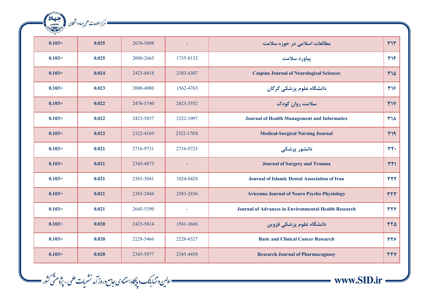| $\frac{1}{\sqrt{2}}$ |       |           |           |                                                             |            |
|----------------------|-------|-----------|-----------|-------------------------------------------------------------|------------|
| 0.103 >              | 0.025 | 2676-5608 |           | مطالعات اسلامی در حوزه سلامت                                | YY         |
| 0.103 >              | 0.025 | 2008-2665 | 1735-8132 | پیاورد سلامت                                                | YY         |
| 0.103 >              | 0.024 | 2423-4818 | 2383-4307 | <b>Caspian Journal of Neurological Sciences</b>             | ٣١۵        |
| 0.103 >              | 0.023 | 2008-4080 | 1562-4765 | دانشگاه علوم پزشکی گرگان                                    | 314        |
| 0.103 >              | 0.022 | 2476-5740 | 2423-3552 | سلامت روان کودک                                             | <b>٣١٧</b> |
| 0.103 >              | 0.022 | 2423-5857 | 2322-1097 | <b>Journal of Health Management and Informatics</b>         | <b>٣١٨</b> |
| 0.103 >              | 0.022 | 2322-4169 | 2322-178X | <b>Medical-Surgical Nursing Journal</b>                     | <b>٣١٩</b> |
| 0.103 >              | 0.021 | 2716-9731 | 2716-9723 | دانشور پزشکی                                                | $rr$ .     |
| 0.103 >              | 0.021 | 2345-4873 |           | <b>Journal of Surgery and Trauma</b>                        | <b>TTI</b> |
| 0.103 >              | 0.021 | 2383-3041 | 1024-6428 | <b>Journal of Islamic Dental Association of Iran</b>        | <b>٣٢٢</b> |
| 0.103 >              | 0.021 | 2383-2444 | 2383-2436 | <b>Avicenna Journal of Neuro Psycho Physiology</b>          | rrr        |
| 0.103 >              | 0.021 | 2645-5390 |           | <b>Journal of Advances in Environmental Health Research</b> | <b>TTF</b> |
| 0.103 >              | 0.020 | 2423-5814 | 1561-3666 | دانشگاه علوم پزشکی قزوین                                    | $rr\Delta$ |
| 0.103 >              | 0.020 | 2228-5466 | 2228-6527 | <b>Basic and Clinical Cancer Research</b>                   | 374        |
| 0.103 >              | 0.020 | 2345-5977 | 2345-4458 | <b>Research Journal of Pharmacognosy</b>                    | <b>٣٢٧</b> |

ه مركز اطلاعات على جهاددانشكايل (مستعملة)<br>- مركز اطلاعات على جهاددانشكايل (مستعملة)

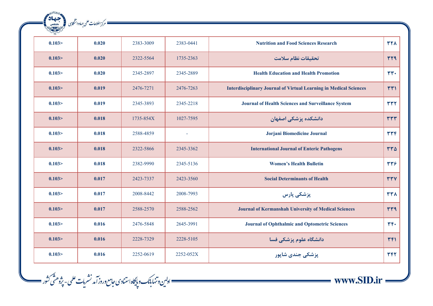| <b>RANGAL COMPANY</b><br>ales | ـــــــــــ مركز اطلاعات علمى جهاددانشكاسى |           |                |                                                                          |                |
|-------------------------------|--------------------------------------------|-----------|----------------|--------------------------------------------------------------------------|----------------|
|                               |                                            |           |                |                                                                          |                |
| 0.103                         | 0.020                                      | 2383-3009 | 2383-0441      | <b>Nutrition and Food Sciences Research</b>                              | <b>٣٢٨</b>     |
| 0.103 >                       | 0.020                                      | 2322-5564 | 1735-2363      | تحقيقات نظام سلامت                                                       | <b>TT9</b>     |
| 0.103 >                       | 0.020                                      | 2345-2897 | 2345-2889      | <b>Health Education and Health Promotion</b>                             | $rr$ .         |
| 0.103 >                       | 0.019                                      | 2476-7271 | 2476-7263      | <b>Interdisciplinary Journal of Virtual Learning in Medical Sciences</b> | rr1            |
| 0.103                         | 0.019                                      | 2345-3893 | 2345-2218      | Journal of Health Sciences and Surveillance System                       | <b>TTT</b>     |
| 0.103 >                       | 0.018                                      | 1735-854X | 1027-7595      | دانشکده پزشکی اصفهان                                                     | <b>TTT</b>     |
| 0.103 >                       | 0.018                                      | 2588-4859 | $\blacksquare$ | Jorjani Biomedicine Journal                                              | <b>TTF</b>     |
| 0.103 >                       | 0.018                                      | 2322-5866 | 2345-3362      | <b>International Journal of Enteric Pathogens</b>                        | $rr\Delta$     |
| 0.103                         | 0.018                                      | 2382-9990 | 2345-5136      | <b>Women's Health Bulletin</b>                                           | <b>TTS</b>     |
| 0.103 >                       | 0.017                                      | 2423-7337 | 2423-3560      | <b>Social Determinants of Health</b>                                     | <b>TTV</b>     |
| 0.103 >                       | 0.017                                      | 2008-8442 | 2008-7993      | پزشکی پارس                                                               | <b>TTA</b>     |
| 0.103 >                       | 0.017                                      | 2588-2570 | 2588-2562      | <b>Journal of Kermanshah University of Medical Sciences</b>              | <b>TT9</b>     |
| 0.103                         | 0.016                                      | 2476-5848 | 2645-3991      | <b>Journal of Ophthalmic and Optometric Sciences</b>                     | $\mathbf{r}$ . |
| 0.103 >                       | 0.016                                      | 2228-7329 | 2228-5105      | دانشگاه علوم پزشکی فسا                                                   | 441            |
| 0.103 >                       | 0.016                                      | 2252-0619 | 2252-052X      | پزشکی جندی شاپور                                                         | 344            |

—— اولىن وتنهابانك وبإيكاه استنادى حامع وروز آمد نشريات علمى - پژوهشَى كثور ——

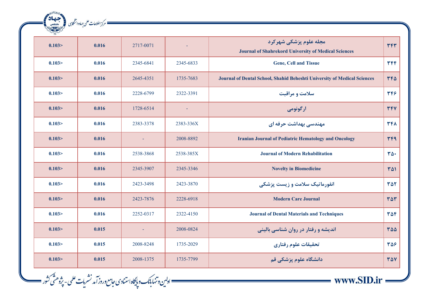| 2 There |       |           |           |                                                                                       |                          |
|---------|-------|-----------|-----------|---------------------------------------------------------------------------------------|--------------------------|
| 0.103 > | 0.016 | 2717-0071 |           | مجله علوم پزشکی شهرکرد<br><b>Journal of Shahrekord University of Medical Sciences</b> | <b>٣۴٣</b>               |
| 0.103 > | 0.016 | 2345-6841 | 2345-6833 | <b>Gene, Cell and Tissue</b>                                                          | <b>TFF</b>               |
| 0.103 > | 0.016 | 2645-4351 | 1735-7683 | Journal of Dental School, Shahid Beheshti University of Medical Sciences              | $rr\Delta$               |
| 0.103 > | 0.016 | 2228-6799 | 2322-3391 | سلامت و مراقبت                                                                        | 397                      |
| 0.103 > | 0.016 | 1728-6514 |           | ارگونومی                                                                              | <b>٣۴٧</b>               |
| 0.103 > | 0.016 | 2383-3378 | 2383-336X | مهندسی بهداشت حرفه ای                                                                 | 347                      |
| 0.103 > | 0.016 |           | 2008-8892 | <b>Iranian Journal of Pediatric Hematology and Oncology</b>                           | <b>TF9</b>               |
| 0.103 > | 0.016 | 2538-3868 | 2538-385X | <b>Journal of Modern Rehabilitation</b>                                               | $\mathbf{r}\mathbf{r}$ . |
| 0.103 > | 0.016 | 2345-3907 | 2345-3346 | <b>Novelty in Biomedicine</b>                                                         | 301                      |
| 0.103 > | 0.016 | 2423-3498 | 2423-3870 | انفورماتیک سلامت و زیست پزشکی                                                         | <b>٣۵٢</b>               |
| 0.103 > | 0.016 | 2423-7876 | 2228-6918 | <b>Modern Care Journal</b>                                                            | 307                      |
| 0.103 > | 0.016 | 2252-0317 | 2322-4150 | <b>Journal of Dental Materials and Techniques</b>                                     | 304                      |
| 0.103 > | 0.015 | $\equiv$  | 2008-0824 | اندیشه و رفتار در روان شناسی بالینی                                                   | 300                      |
| 0.103 > | 0.015 | 2008-8248 | 1735-2029 | تحقيقات علوم رفتاري                                                                   | 38                       |
| 0.103 > | 0.015 | 2008-1375 | 1735-7799 | دانشگاه علوم پزشکی قم                                                                 | <b>TAV</b>               |

\_\_\_ اولىن وتنها بأنك وبإيكاه استنادى حامع وروز آمد نشريات علمى- پژوهشَى كثور \_\_\_\_

المسك المحمد المحمد الشكري المحمد المحمد المحمد المحمد المحمد المحمد المحمد المحمد المحمد المحمد المحمد المحمد<br>المحمد المحمد المحمد المحمد المحمد المحمد المحمد المحمد المحمد المحمد المحمد المحمد المحمد المحمد المحمد المحم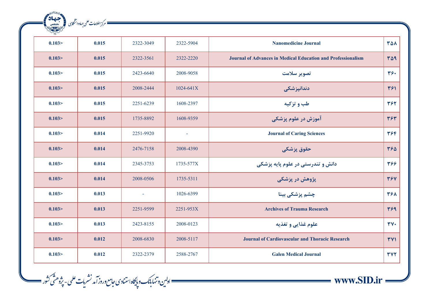| ales<br><sup>2</sup> مرکز اطلاعات علمی جهاد دانشگاہی |       |           |           |                                                                     |                           |  |  |  |  |  |
|------------------------------------------------------|-------|-----------|-----------|---------------------------------------------------------------------|---------------------------|--|--|--|--|--|
|                                                      |       |           |           |                                                                     |                           |  |  |  |  |  |
| 0.103                                                | 0.015 | 2322-3049 | 2322-5904 | <b>Nanomedicine Journal</b>                                         | <b>TA1</b>                |  |  |  |  |  |
| 0.103 >                                              | 0.015 | 2322-3561 | 2322-2220 | <b>Journal of Advances in Medical Education and Professionalism</b> | <b>٣۵٩</b>                |  |  |  |  |  |
| 0.103 >                                              | 0.015 | 2423-6640 | 2008-9058 | تصوير سلامت                                                         | $rrf$ .                   |  |  |  |  |  |
| 0.103 >                                              | 0.015 | 2008-2444 | 1024-641X | دندانپزشک <i>ی</i>                                                  | 391                       |  |  |  |  |  |
| 0.103                                                | 0.015 | 2251-6239 | 1608-2397 | طب و تزكيه                                                          | 394                       |  |  |  |  |  |
| 0.103 >                                              | 0.015 | 1735-8892 | 1608-9359 | آموزش در علوم پزشکی                                                 | 384                       |  |  |  |  |  |
| 0.103 >                                              | 0.014 | 2251-9920 | $\omega$  | <b>Journal of Caring Sciences</b>                                   | 394                       |  |  |  |  |  |
| 0.103 >                                              | 0.014 | 2476-7158 | 2008-4390 | حقوق پزشکی                                                          | 388                       |  |  |  |  |  |
| 0.103 >                                              | 0.014 | 2345-3753 | 1735-577X | دانش و تندرستی در علوم پایه پزشکی                                   | 394                       |  |  |  |  |  |
| 0.103 >                                              | 0.014 | 2008-0506 | 1735-5311 | پژوهش در پزشکی                                                      | <b>٣۶٧</b>                |  |  |  |  |  |
| 0.103 >                                              | 0.013 | $\equiv$  | 1026-6399 | چشم پزشکی بینا                                                      | 481                       |  |  |  |  |  |
| 0.103 >                                              | 0.013 | 2251-9599 | 2251-953X | <b>Archives of Trauma Research</b>                                  | 489                       |  |  |  |  |  |
| 0.103 >                                              | 0.013 | 2423-8155 | 2008-0123 | علوم غذايي و تغذيه                                                  | $\mathbf{r} \mathbf{v}$ . |  |  |  |  |  |
| 0.103 >                                              | 0.012 | 2008-6830 | 2008-5117 | <b>Journal of Cardiovascular and Thoracic Research</b>              | <b>٣٧١</b>                |  |  |  |  |  |
| 0.103 >                                              | 0.012 | 2322-2379 | 2588-2767 | <b>Galen Medical Journal</b>                                        | <b>٣٧٢</b>                |  |  |  |  |  |

—— ادلین وتنهابانک و پایگاه استنادی حامع وروز آمد نشریات علمی - پژوهشی کشور ——<br>—— اولین وتنهابانک و پایگاه استنادی حامع وروز آمد نشریات علمی - پژوهشی کشور